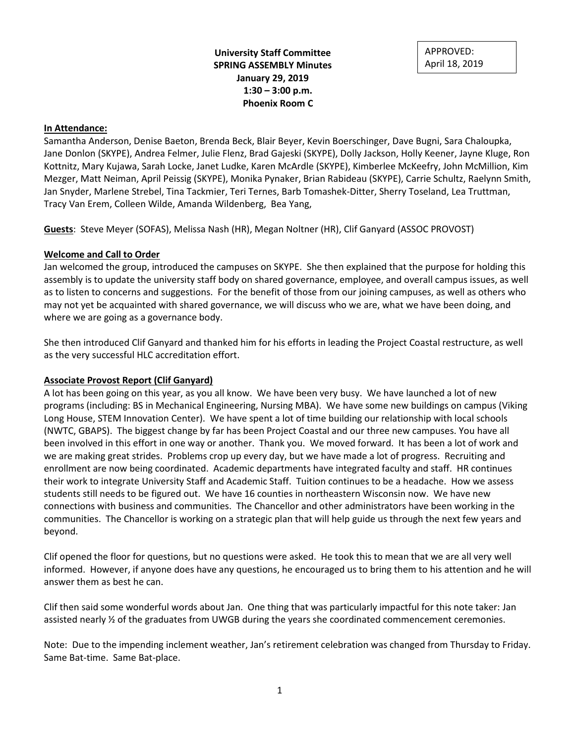**University Staff Committee SPRING ASSEMBLY Minutes January 29, 2019 1:30 – 3:00 p.m. Phoenix Room C**

APPROVED: April 18, 2019

### **In Attendance:**

Samantha Anderson, Denise Baeton, Brenda Beck, Blair Beyer, Kevin Boerschinger, Dave Bugni, Sara Chaloupka, Jane Donlon (SKYPE), Andrea Felmer, Julie Flenz, Brad Gajeski (SKYPE), Dolly Jackson, Holly Keener, Jayne Kluge, Ron Kottnitz, Mary Kujawa, Sarah Locke, Janet Ludke, Karen McArdle (SKYPE), Kimberlee McKeefry, John McMillion, Kim Mezger, Matt Neiman, April Peissig (SKYPE), Monika Pynaker, Brian Rabideau (SKYPE), Carrie Schultz, Raelynn Smith, Jan Snyder, Marlene Strebel, Tina Tackmier, Teri Ternes, Barb Tomashek-Ditter, Sherry Toseland, Lea Truttman, Tracy Van Erem, Colleen Wilde, Amanda Wildenberg, Bea Yang,

**Guests**: Steve Meyer (SOFAS), Melissa Nash (HR), Megan Noltner (HR), Clif Ganyard (ASSOC PROVOST)

## **Welcome and Call to Order**

Jan welcomed the group, introduced the campuses on SKYPE. She then explained that the purpose for holding this assembly is to update the university staff body on shared governance, employee, and overall campus issues, as well as to listen to concerns and suggestions. For the benefit of those from our joining campuses, as well as others who may not yet be acquainted with shared governance, we will discuss who we are, what we have been doing, and where we are going as a governance body.

She then introduced Clif Ganyard and thanked him for his efforts in leading the Project Coastal restructure, as well as the very successful HLC accreditation effort.

## **Associate Provost Report (Clif Ganyard)**

A lot has been going on this year, as you all know. We have been very busy. We have launched a lot of new programs (including: BS in Mechanical Engineering, Nursing MBA). We have some new buildings on campus (Viking Long House, STEM Innovation Center). We have spent a lot of time building our relationship with local schools (NWTC, GBAPS). The biggest change by far has been Project Coastal and our three new campuses. You have all been involved in this effort in one way or another. Thank you. We moved forward. It has been a lot of work and we are making great strides. Problems crop up every day, but we have made a lot of progress. Recruiting and enrollment are now being coordinated. Academic departments have integrated faculty and staff. HR continues their work to integrate University Staff and Academic Staff. Tuition continues to be a headache. How we assess students still needs to be figured out. We have 16 counties in northeastern Wisconsin now. We have new connections with business and communities. The Chancellor and other administrators have been working in the communities. The Chancellor is working on a strategic plan that will help guide us through the next few years and beyond.

Clif opened the floor for questions, but no questions were asked. He took this to mean that we are all very well informed. However, if anyone does have any questions, he encouraged us to bring them to his attention and he will answer them as best he can.

Clif then said some wonderful words about Jan. One thing that was particularly impactful for this note taker: Jan assisted nearly ½ of the graduates from UWGB during the years she coordinated commencement ceremonies.

Note: Due to the impending inclement weather, Jan's retirement celebration was changed from Thursday to Friday. Same Bat-time. Same Bat-place.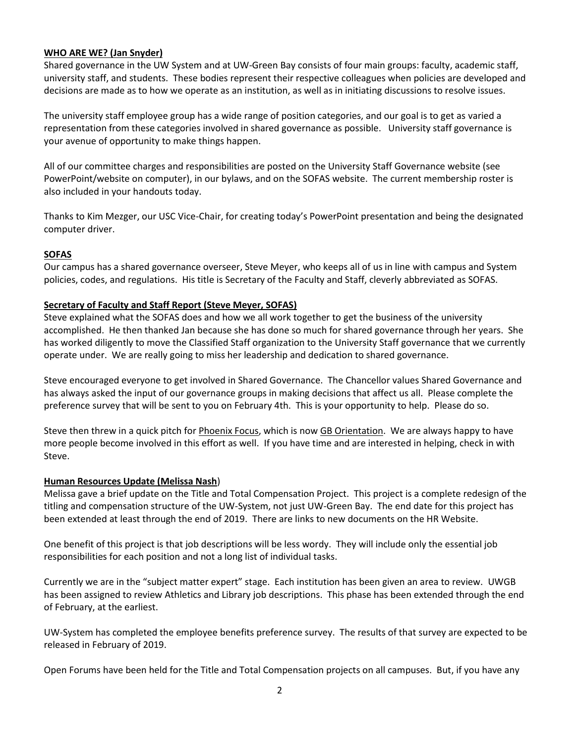# **WHO ARE WE? (Jan Snyder)**

Shared governance in the UW System and at UW-Green Bay consists of four main groups: faculty, academic staff, university staff, and students. These bodies represent their respective colleagues when policies are developed and decisions are made as to how we operate as an institution, as well as in initiating discussions to resolve issues.

The university staff employee group has a wide range of position categories, and our goal is to get as varied a representation from these categories involved in shared governance as possible. University staff governance is your avenue of opportunity to make things happen.

All of our committee charges and responsibilities are posted on the University Staff Governance website (see PowerPoint/website on computer), in our bylaws, and on the SOFAS website. The current membership roster is also included in your handouts today.

Thanks to Kim Mezger, our USC Vice-Chair, for creating today's PowerPoint presentation and being the designated computer driver.

## **SOFAS**

Our campus has a shared governance overseer, Steve Meyer, who keeps all of us in line with campus and System policies, codes, and regulations. His title is Secretary of the Faculty and Staff, cleverly abbreviated as SOFAS.

## **Secretary of Faculty and Staff Report (Steve Meyer, SOFAS)**

Steve explained what the SOFAS does and how we all work together to get the business of the university accomplished. He then thanked Jan because she has done so much for shared governance through her years. She has worked diligently to move the Classified Staff organization to the University Staff governance that we currently operate under. We are really going to miss her leadership and dedication to shared governance.

Steve encouraged everyone to get involved in Shared Governance. The Chancellor values Shared Governance and has always asked the input of our governance groups in making decisions that affect us all. Please complete the preference survey that will be sent to you on February 4th. This is your opportunity to help. Please do so.

Steve then threw in a quick pitch for Phoenix Focus, which is now GB Orientation. We are always happy to have more people become involved in this effort as well. If you have time and are interested in helping, check in with Steve.

#### **Human Resources Update (Melissa Nash**)

Melissa gave a brief update on the Title and Total Compensation Project. This project is a complete redesign of the titling and compensation structure of the UW-System, not just UW-Green Bay. The end date for this project has been extended at least through the end of 2019. There are links to new documents on the HR Website.

One benefit of this project is that job descriptions will be less wordy. They will include only the essential job responsibilities for each position and not a long list of individual tasks.

Currently we are in the "subject matter expert" stage. Each institution has been given an area to review. UWGB has been assigned to review Athletics and Library job descriptions. This phase has been extended through the end of February, at the earliest.

UW-System has completed the employee benefits preference survey. The results of that survey are expected to be released in February of 2019.

Open Forums have been held for the Title and Total Compensation projects on all campuses. But, if you have any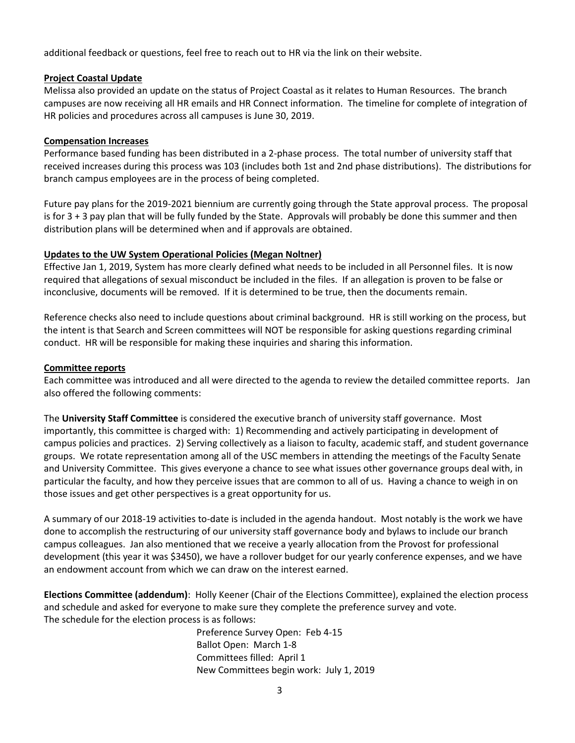additional feedback or questions, feel free to reach out to HR via the link on their website.

## **Project Coastal Update**

Melissa also provided an update on the status of Project Coastal as it relates to Human Resources. The branch campuses are now receiving all HR emails and HR Connect information. The timeline for complete of integration of HR policies and procedures across all campuses is June 30, 2019.

### **Compensation Increases**

Performance based funding has been distributed in a 2-phase process. The total number of university staff that received increases during this process was 103 (includes both 1st and 2nd phase distributions). The distributions for branch campus employees are in the process of being completed.

Future pay plans for the 2019-2021 biennium are currently going through the State approval process. The proposal is for 3 + 3 pay plan that will be fully funded by the State. Approvals will probably be done this summer and then distribution plans will be determined when and if approvals are obtained.

## **Updates to the UW System Operational Policies (Megan Noltner)**

Effective Jan 1, 2019, System has more clearly defined what needs to be included in all Personnel files. It is now required that allegations of sexual misconduct be included in the files. If an allegation is proven to be false or inconclusive, documents will be removed. If it is determined to be true, then the documents remain.

Reference checks also need to include questions about criminal background. HR is still working on the process, but the intent is that Search and Screen committees will NOT be responsible for asking questions regarding criminal conduct. HR will be responsible for making these inquiries and sharing this information.

### **Committee reports**

Each committee was introduced and all were directed to the agenda to review the detailed committee reports. Jan also offered the following comments:

The **University Staff Committee** is considered the executive branch of university staff governance. Most importantly, this committee is charged with: 1) Recommending and actively participating in development of campus policies and practices. 2) Serving collectively as a liaison to faculty, academic staff, and student governance groups. We rotate representation among all of the USC members in attending the meetings of the Faculty Senate and University Committee. This gives everyone a chance to see what issues other governance groups deal with, in particular the faculty, and how they perceive issues that are common to all of us. Having a chance to weigh in on those issues and get other perspectives is a great opportunity for us.

A summary of our 2018-19 activities to-date is included in the agenda handout. Most notably is the work we have done to accomplish the restructuring of our university staff governance body and bylaws to include our branch campus colleagues. Jan also mentioned that we receive a yearly allocation from the Provost for professional development (this year it was \$3450), we have a rollover budget for our yearly conference expenses, and we have an endowment account from which we can draw on the interest earned.

**Elections Committee (addendum)**: Holly Keener (Chair of the Elections Committee), explained the election process and schedule and asked for everyone to make sure they complete the preference survey and vote. The schedule for the election process is as follows:

> Preference Survey Open: Feb 4-15 Ballot Open: March 1-8 Committees filled: April 1 New Committees begin work: July 1, 2019